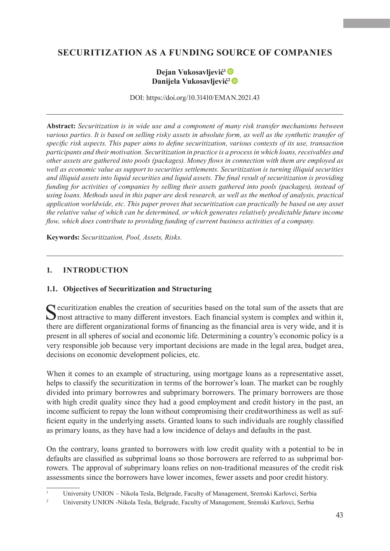# **SECURITIZATION AS A FUNDING SOURCE OF COMPANIES**

### **Dejan Vukosavljević<sup>1</sup> Danijela Vukosavljević<sup>2</sup>**

DOI: https://doi.org/10.31410/EMAN.2021.43

**Abstract:** *Securitization is in wide use and a component of many risk transfer mechanisms between various parties. It is based on selling risky assets in absolute form, as well as the synthetic transfer of specific risk aspects. This paper aims to define securitization, various contexts of its use, transaction participants and their motivation. Securitization in practice is a process in which loans, receivables and other assets are gathered into pools (packages). Money flows in connection with them are employed as well as economic value as support to securities settlements. Securitization is turning illiquid securities and illiquid assets into liquid securities and liquid assets. The final result of securitization is providing funding for activities of companies by selling their assets gathered into pools (packages), instead of using loans. Methods used in this paper are desk research, as well as the method of analysis, practical application worldwide, etc. This paper proves that securitization can practically be based on any asset the relative value of which can be determined, or which generates relatively predictable future income flow, which does contribute to providing funding of current business activities of a company.*

**Keywords:** *Securitization, Pool, Assets, Risks.*

#### **1. INTRODUCTION**

#### **1.1. Objectives of Securitization and Structuring**

Securitization enables the creation of securities based on the total sum of the assets that are most attractive to many different investors. Each financial system is complex and within it, there are different organizational forms of financing as the financial area is very wide, and it is present in all spheres of social and economic life. Determining a country's economic policy is a very responsible job because very important decisions are made in the legal area, budget area, decisions on economic development policies, etc.

When it comes to an example of structuring, using mortgage loans as a representative asset, helps to classify the securitization in terms of the borrower's loan. The market can be roughly divided into primary borrowres and subprimary borrowers. The primary borrowers are those with high credit quality since they had a good employment and credit history in the past, an income sufficient to repay the loan without compromising their creditworthiness as well as sufficient equity in the underlying assets. Granted loans to such individuals are roughly classified as primary loans, as they have had a low incidence of delays and defaults in the past.

On the contrary, loans granted to borrowers with low credit quality with a potential to be in defaults are classified as subprimal loans so those borrowers are referred to as subprimal borrowers*.* The approval of subprimary loans relies on non-traditional measures of the credit risk assessments since the borrowers have lower incomes, fewer assets and poor credit history.

<sup>1</sup> University UNION – Nikola Tesla, Belgrade, Faculty of Management, Sremski Karlovci, Serbia

<sup>&</sup>lt;sup>2</sup> University UNION -Nikola Tesla, Belgrade, Faculty of Management, Sremski Karlovci, Serbia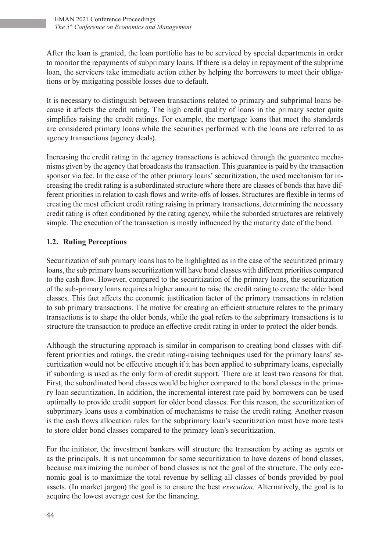After the loan is granted, the loan portfolio has to be serviced by special departments in order to monitor the repayments of subprimary loans. If there is a delay in repayment of the subprime loan, the servicers take immediate action either by helping the borrowers to meet their obligations or by mitigating possible losses due to default.

It is necessary to distinguish between transactions related to primary and subprimal loans because it affects the credit rating. The high credit quality of loans in the primary sector quite simplifies raising the credit ratings. For example, the mortgage loans that meet the standards are considered primary loans while the securities performed with the loans are referred to as agency transactions (agency deals).

Increasing the credit rating in the agency transactions is achieved through the guarantee mechanisms given by the agency that broadcasts the transaction. This guarantee is paid by the transaction sponsor via fee. In the case of the other primary loans' securitization, the used mechanism for increasing the credit rating is a subordinated structure where there are classes of bonds that have different priorities in relation to cash flows and write-offs of losses. Structures are flexible in terms of creating the most efficient credit rating raising in primary transactions, determining the necessary credit rating is often conditioned by the rating agency, while the suborded structures are relatively simple. The execution of the transaction is mostly influenced by the maturity date of the bond.

## **1.2. Ruling Perceptions**

Securitization of sub primary loans has to be highlighted as in the case of the securitized primary loans, the sub primary loans securitization will have bond classes with different priorities compared to the cash flow. However, compared to the securitization of the primary loans, the securitization of the sub-primary loans requires a higher amount to raise the credit rating to create the older bond classes. This fact affects the economic justification factor of the primary transactions in relation to sub primary transactions. The motive for creating an efficient structure relates to the primary transactions is to shape the older bonds, while the goal refers to the subprimary transactions is to structure the transaction to produce an effective credit rating in order to protect the older bonds.

Although the structuring approach is similar in comparison to creating bond classes with different priorities and ratings, the credit rating-raising techniques used for the primary loans' securitization would not be effective enough if it has been applied to subprimary loans, especially if subording is used as the only form of credit support. There are at least two reasons for that. First, the subordinated bond classes would be higher compared to the bond classes in the primary loan securitization. In addition, the incremental interest rate paid by borrowers can be used optimally to provide credit support for older bond classes. For this reason, the securitization of subprimary loans uses a combination of mechanisms to raise the credit rating. Another reason is the cash flows allocation rules for the subprimary loan's securitization must have more tests to store older bond classes compared to the primary loan's securitization.

For the initiator, the investment bankers will structure the transaction by acting as agents or as the principals. It is not uncommon for some securitization to have dozens of bond classes, because maximizing the number of bond classes is not the goal of the structure. The only economic goal is to maximize the total revenue by selling all classes of bonds provided by pool assets. (In market jargon) the goal is to ensure the best *execution.* Alternatively, the goal is to acquire the lowest average cost for the financing.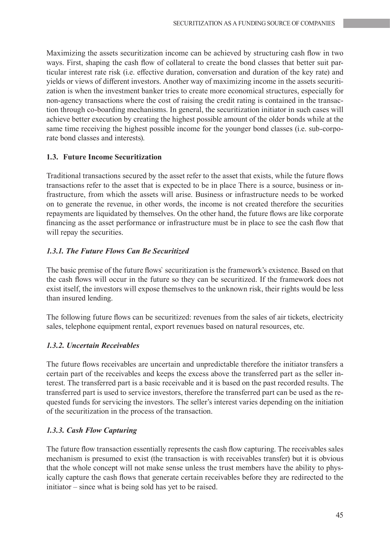Maximizing the assets securitization income can be achieved by structuring cash flow in two ways. First, shaping the cash flow of collateral to create the bond classes that better suit particular interest rate risk (i.e. effective duration, conversation and duration of the key rate) and yields or views of different investors. Another way of maximizing income in the assets securitization is when the investment banker tries to create more economical structures, especially for non-agency transactions where the cost of raising the credit rating is contained in the transaction through co-boarding mechanisms. In general, the securitization initiator in such cases will achieve better execution by creating the highest possible amount of the older bonds while at the same time receiving the highest possible income for the younger bond classes (i.e. sub-corporate bond classes and interests).

#### **1.3. Future Income Securitization**

Traditional transactions secured by the asset refer to the asset that exists, while the future flows transactions refer to the asset that is expected to be in place There is a source, business or infrastructure, from which the assets will arise. Business or infrastructure needs to be worked on to generate the revenue, in other words, the income is not created therefore the securities repayments are liquidated by themselves. On the other hand, the future flows are like corporate financing as the asset performance or infrastructure must be in place to see the cash flow that will repay the securities.

#### *1.3.1. The Future Flows Can Be Securitized*

The basic premise of the future flows` securitization is the framework's existence. Based on that the cash flows will occur in the future so they can be securitized. If the framework does not exist itself, the investors will expose themselves to the unknown risk, their rights would be less than insured lending.

The following future flows can be securitized: revenues from the sales of air tickets, electricity sales, telephone equipment rental, export revenues based on natural resources, etc.

#### *1.3.2. Uncertain Receivables*

The future flows receivables are uncertain and unpredictable therefore the initiator transfers a certain part of the receivables and keeps the excess above the transferred part as the seller interest. The transferred part is a basic receivable and it is based on the past recorded results. The transferred part is used to service investors, therefore the transferred part can be used as the requested funds for servicing the investors. The seller's interest varies depending on the initiation of the securitization in the process of the transaction.

#### *1.3.3. Cash Flow Capturing*

The future flow transaction essentially represents the cash flow capturing. The receivables sales mechanism is presumed to exist (the transaction is with receivables transfer) but it is obvious that the whole concept will not make sense unless the trust members have the ability to physically capture the cash flows that generate certain receivables before they are redirected to the initiator – since what is being sold has yet to be raised.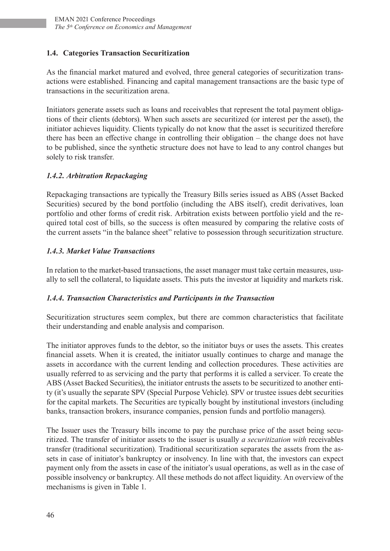### **1.4. Categories Transaction Securitization**

As the financial market matured and evolved, three general categories of securitization transactions were established. Financing and capital management transactions are the basic type of transactions in the securitization arena.

Initiators generate assets such as loans and receivables that represent the total payment obligations of their clients (debtors). When such assets are securitized (or interest per the asset), the initiator achieves liquidity. Clients typically do not know that the asset is securitized therefore there has been an effective change in controlling their obligation – the change does not have to be published, since the synthetic structure does not have to lead to any control changes but solely to risk transfer.

### *1.4.2. Arbitration Repackaging*

Repackaging transactions are typically the Treasury Bills series issued as ABS (Asset Backed Securities) secured by the bond portfolio (including the ABS itself), credit derivatives, loan portfolio and other forms of credit risk. Arbitration exists between portfolio yield and the required total cost of bills, so the success is often measured by comparing the relative costs of the current assets "in the balance sheet" relative to possession through securitization structure.

### *1.4.3. Market Value Transactions*

In relation to the market-based transactions, the asset manager must take certain measures, usually to sell the collateral, to liquidate assets. This puts the investor at liquidity and markets risk.

### *1.4.4. Transaction Characteristics and Participants in the Transaction*

Securitization structures seem complex, but there are common characteristics that facilitate their understanding and enable analysis and comparison.

The initiator approves funds to the debtor, so the initiator buys or uses the assets. This creates financial assets. When it is created, the initiator usually continues to charge and manage the assets in accordance with the current lending and collection procedures. These activities are usually referred to as servicing and the party that performs it is called a servicer. To create the ABS (Asset Backed Securities), the initiator entrusts the assets to be securitized to another entity (it's usually the separate SPV (Special Purpose Vehicle). SPV or trustee issues debt securities for the capital markets. The Securities are typically bought by institutional investors (including banks, transaction brokers, insurance companies, pension funds and portfolio managers).

The Issuer uses the Treasury bills income to pay the purchase price of the asset being securitized. The transfer of initiator assets to the issuer is usually *a securitization with* receivables transfer (traditional securitization). Traditional securitization separates the assets from the assets in case of initiator's bankruptcy or insolvency. In line with that, the investors can expect payment only from the assets in case of the initiator's usual operations, as well as in the case of possible insolvency or bankruptcy. All these methods do not affect liquidity. An overview of the mechanisms is given in Table 1.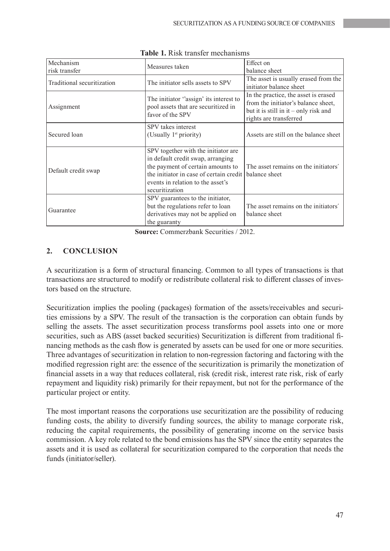| Mechanism                  | Measures taken                                                                                    | Effect on                               |
|----------------------------|---------------------------------------------------------------------------------------------------|-----------------------------------------|
| risk transfer              |                                                                                                   | balance sheet                           |
| Traditional securitization | The initiator sells assets to SPV                                                                 | The asset is usually erased from the    |
|                            |                                                                                                   | initiator balance sheet                 |
| Assignment                 | The initiator "assign' its interest to<br>pool assets that are securitized in<br>favor of the SPV | In the practice, the asset is erased    |
|                            |                                                                                                   | from the initiator's balance sheet,     |
|                            |                                                                                                   | but it is still in it $-$ only risk and |
|                            |                                                                                                   | rights are transferred                  |
| Secured loan               | SPV takes interest                                                                                |                                         |
|                            | (Usually 1 <sup>st</sup> priority)                                                                | Assets are still on the balance sheet   |
|                            |                                                                                                   |                                         |
| Default credit swap        | SPV together with the initiator are                                                               |                                         |
|                            | in default credit swap, arranging                                                                 |                                         |
|                            | the payment of certain amounts to                                                                 | The asset remains on the initiators'    |
|                            | the initiator in case of certain credit   balance sheet                                           |                                         |
|                            | events in relation to the asset's                                                                 |                                         |
|                            | securitization                                                                                    |                                         |
| Guarantee                  | SPV guarantees to the initiator,                                                                  |                                         |
|                            | but the regulations refer to loan                                                                 | The asset remains on the initiators'    |
|                            | derivatives may not be applied on                                                                 | balance sheet                           |
|                            | the guaranty                                                                                      |                                         |

**Table 1.** Risk transfer mechanisms

**Source:** Commerzbank Securities / 2012.

### **2. CONCLUSION**

A securitization is a form of structural financing. Common to all types of transactions is that transactions are structured to modify or redistribute collateral risk to different classes of investors based on the structure.

Securitization implies the pooling (packages) formation of the assets/receivables and securities emissions by a SPV. The result of the transaction is the corporation can obtain funds by selling the assets. The asset securitization process transforms pool assets into one or more securities, such as ABS (asset backed securities) Securitization is different from traditional financing methods as the cash flow is generated by assets can be used for one or more securities. Three advantages of securitization in relation to non-regression factoring and factoring with the modified regression right are: the essence of the securitization is primarily the monetization of financial assets in a way that reduces collateral, risk (credit risk, interest rate risk, risk of early repayment and liquidity risk) primarily for their repayment, but not for the performance of the particular project or entity.

The most important reasons the corporations use securitization are the possibility of reducing funding costs, the ability to diversify funding sources, the ability to manage corporate risk, reducing the capital requirements, the possibility of generating income on the service basis commission. A key role related to the bond emissions has the SPV since the entity separates the assets and it is used as collateral for securitization compared to the corporation that needs the funds (initiator/seller).